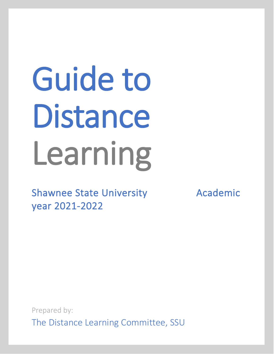# Guide to Distance Learning<br>Shawnee State University Academic

year 2021-2022

Prepared by:

The Distance Learning Committee, SSU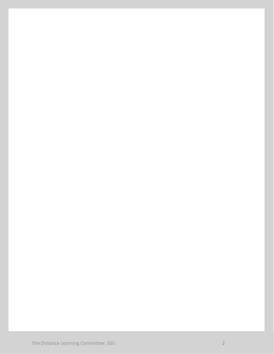The Distance Learning Committee, SSU 2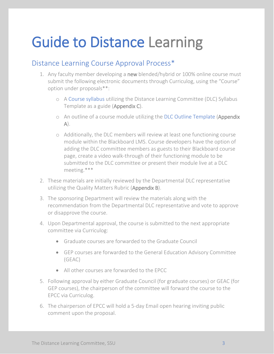# Guide to Distance Learning

# Distance Learning Course Approval Process\*

- 1. Any faculty member developing a new blended/hybrid or 100% online course must submit the following electronic documents through Curriculog, using the "Course" option under proposals\*\*:
	- o A Course syllabus utilizing the Distance Learning Committee (DLC) Syllabus Template as a guide (Appendix C).
	- o An outline of a course module utilizing the DLC Outline Template (Appendix  $(A)$ .
	- o Additionally, the DLC members will review at least one functioning course module within the Blackboard LMS. Course developers have the option of adding the DLC committee members as guests to their Blackboard course page, create a video walk-through of their functioning module to be submitted to the DLC committee or present their module live at a DLC meeting.\*\*\*
- 2. These materials are initially reviewed by the Departmental DLC representative utilizing the Quality Matters Rubric (Appendix B).
- 3. The sponsoring Department will review the materials along with the recommendation from the Departmental DLC representative and vote to approve or disapprove the course.
- 4. Upon Departmental approval, the course is submitted to the next appropriate committee via Curriculog:
	- Graduate courses are forwarded to the Graduate Council
	- GEP courses are forwarded to the General Education Advisory Committee (GEAC)
	- All other courses are forwarded to the EPCC
- 5. Following approval by either Graduate Council (for graduate courses) or GEAC (for GEP courses), the chairperson of the committee will forward the course to the EPCC via Curriculog.
- 6. The chairperson of EPCC will hold a 5-day Email open hearing inviting public comment upon the proposal.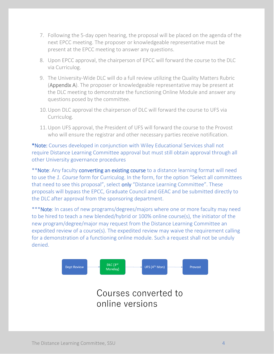- 7. Following the 5-day open hearing, the proposal will be placed on the agenda of the next EPCC meeting. The proposer or knowledgeable representative must be present at the EPCC meeting to answer any questions.
- 8. Upon EPCC approval, the chairperson of EPCC will forward the course to the DLC via Curriculog.
- 9. The University-Wide DLC will do a full review utilizing the Quality Matters Rubric (Appendix A). The proposer or knowledgeable representative may be present at the DLC meeting to demonstrate the functioning Online Module and answer any questions posed by the committee.
- 10.Upon DLC approval the chairperson of DLC will forward the course to UFS via Curriculog.
- 11.Upon UFS approval, the President of UFS will forward the course to the Provost who will ensure the registrar and other necessary parties receive notification.

\*Note: Courses developed in conjunction with Wiley Educational Services shall not require Distance Learning Committee approval but must still obtain approval through all other University governance procedures

\*\*Note: Any faculty converting an existing course to a distance learning format will need to use the *1. Course* form for Curriculog. In the form, for the option "Select all committees that need to see this proposal", select only "Distance Learning Committee". These proposals will bypass the EPCC, Graduate Council and GEAC and be submitted directly to the DLC after approval from the sponsoring department.

\*\*\*Note: In cases of new programs/degrees/majors where one or more faculty may need to be hired to teach a new blended/hybrid or 100% online course(s), the initiator of the new program/degree/major may request from the Distance Learning Committee an expedited review of a course(s). The expedited review may waive the requirement calling for a demonstration of a functioning online module. Such a request shall not be unduly denied.



Courses converted to online versions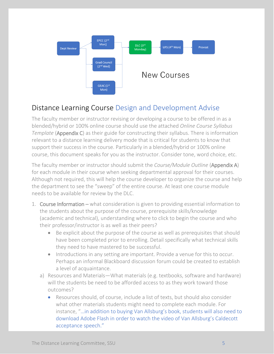

# Distance Learning Course Design and Development Advise

The faculty member or instructor revising or developing a course to be offered in as a blended/hybrid or 100% online course should use the attached *Online Course Syllabus Template* (Appendix C) as their guide for constructing their syllabus. There is information relevant to a distance learning delivery mode that is critical for students to know that support their success in the course. Particularly in a blended/hybrid or 100% online course, this document speaks for you as the instructor. Consider tone, word choice, etc.

The faculty member or instructor should submit the *Course/Module Outline* (Appendix A) for each module in their course when seeking departmental approval for their courses. Although not required, this will help the course developer to organize the course and help the department to see the "sweep" of the entire course. At least one course module needs to be available for review by the DLC.

- 1. Course Information what consideration is given to providing essential information to the students about the purpose of the course, prerequisite skills/knowledge (academic and technical), understanding where to click to begin the course and who their professor/instructor is as well as their peers?
	- Be explicit about the purpose of the course as well as prerequisites that should have been completed prior to enrolling. Detail specifically what technical skills they need to have mastered to be successful.
	- Introductions in any setting are important. Provide a venue for this to occur. Perhaps an informal Blackboard discussion forum could be created to establish a level of acquaintance.
	- a) Resources and Materials—What materials (e.g. textbooks, software and hardware) will the students be need to be afforded access to as they work toward those outcomes?
		- Resources should, of course, include a list of texts, but should also consider what other materials students might need to complete each module. For instance, "…in addition to buying Van Allsburg's book, students will also need to download Adobe Flash in order to watch the video of Van Allsburg's Caldecott acceptance speech."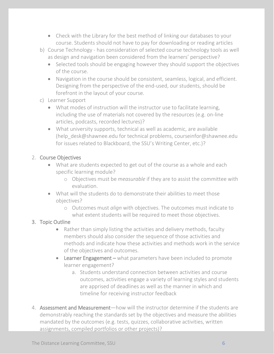- Check with the Library for the best method of linking our databases to your course. Students should not have to pay for downloading or reading articles
- b) Course Technology has consideration of selected course technology tools as well as design and navigation been considered from the learners' perspective?
	- Selected tools should be engaging however they should support the objectives of the course.
	- Navigation in the course should be consistent, seamless, logical, and efficient. Designing from the perspective of the end-used, our students, should be forefront in the layout of your course.
- c) Learner Support
	- What modes of instruction will the instructor use to facilitate learning, including the use of materials not covered by the resources (e.g. on-line articles, podcasts, recorded lectures)?
	- What university supports, technical as well as academic, are available (help\_desk@shawnee.edu for technical problems, courseinfor@shawnee.edu for issues related to Blackboard, the SSU's Writing Center, etc.)?

#### 2. Course Objectives

- What are students expected to get out of the course as a whole and each specific learning module?
	- o Objectives must be *measurable* if they are to assist the committee with evaluation.
- What will the students do to demonstrate their abilities to meet those objectives?
	- o Outcomes must *align* with objectives. The outcomes must indicate to what extent students will be required to meet those objectives.

#### 3. Topic Outline

- Rather than simply listing the activities and delivery methods, faculty members should also consider the sequence of those activities and methods and indicate how these activities and methods work in the service of the objectives and outcomes.
- Learner Engagement what parameters have been included to promote learner engagement?
	- a. Students understand connection between activities and course outcomes, activities engage a variety of learning styles and students are apprised of deadlines as well as the manner in which and timeline for receiving instructor feedback
- 4. Assessment and Measurement-how will the instructor determine if the students are demonstrably reaching the standards set by the objectives and measure the abilities mandated by the outcomes (e.g. tests, quizzes, collaborative activities, written assignments, compiled portfolios or other projects)?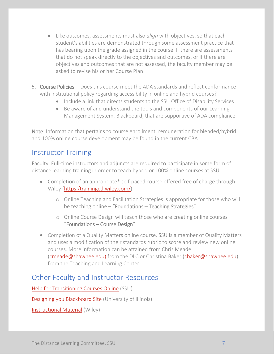- Like outcomes, assessments must also *align* with objectives, so that each student's abilities are demonstrated through some assessment practice that has bearing upon the grade assigned in the course. If there are assessments that do not speak directly to the objectives and outcomes, or if there are objectives and outcomes that are not assessed, the faculty member may be asked to revise his or her Course Plan.
- 5. Course Policies -- Does this course meet the ADA standards and reflect conformance with institutional policy regarding accessibility in online and hybrid courses?
	- Include a link that directs students to the SSU Office of Disability Services
	- Be aware of and understand the tools and components of our Learning Management System, Blackboard, that are supportive of ADA compliance.

Note: Information that pertains to course enrollment, remuneration for blended/hybrid and 100% online course development may be found in the current CBA

## Instructor Training

Faculty, Full-time instructors and adjuncts are required to participate in some form of distance learning training in order to teach hybrid or 100% online courses at SSU.

- Completion of an appropriate\* self-paced course offered free of charge through Wiley [\(https:/trainingctl.wiley.com/\)](https://trainingctl.wiley.com/)
	- o Online Teaching and Facilitation Strategies is appropriate for those who will be teaching online – "Foundations – Teaching Strategies"
	- o Online Course Design will teach those who are creating online courses "Foundations – Course Design"
- Completion of a Quality Matters online course. SSU is a member of Quality Matters and uses a modification of their standards rubric to score and review new online courses. More information can be attained from Chris Meade [\(cmeade@shawnee.edu\)](mailto:cmeade@shawnee.edu) from the DLC or Christina Baker [\(cbaker@shawnee.edu\)](mailto:cbaker@shawnee.edu) from the Teaching and Learning Center.

## Other Faculty and Instructor Resources

[Help for Transitioning Courses](https://www.shawnee.edu/areas-study/clark-memorial-library/teaching-learning-center/help-transitioning-courses-online#designing) Online (SSU)

[Designing you Blackboard Site](https://accc.uic.edu/contingency/online-teaching-instructors/designing-your-blackboard-course/) (University of Illinois)

[Instructional](https://ctl.wiley.com/course-design/instructional-material/) Material (Wiley)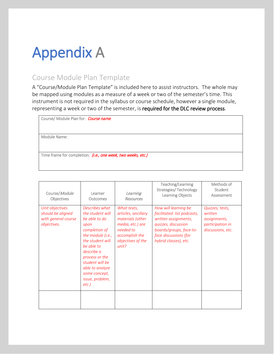# Appendix A

# Course Module Plan Template

A "Course/Module Plan Template" is included here to assist instructors. The whole may be mapped using modules as a measure of a week or two of the semester's time. This instrument is not required in the syllabus or course schedule, however a single module, representing a week or two of the semester, is required for the DLC review process.

Course/ Module Plan for: Course name

Module Name:

Time frame for completion: *(i.e., one week, two weeks, etc.)* 

| Course/Module<br><b>Objectives</b>                                         | Learner<br>Outcomes                                                                                                                                                                                                                                       | Learning<br>Resources                                                                                                                   | Teaching/Learning<br><b>Strategies/ Technology</b><br>Learning Objects                                                                                                          | Methods of<br>Student<br>Assessment                                                 |
|----------------------------------------------------------------------------|-----------------------------------------------------------------------------------------------------------------------------------------------------------------------------------------------------------------------------------------------------------|-----------------------------------------------------------------------------------------------------------------------------------------|---------------------------------------------------------------------------------------------------------------------------------------------------------------------------------|-------------------------------------------------------------------------------------|
| Unit objectives<br>should be aligned<br>with general course<br>objectives. | Describes what<br>the student will<br>be able to do<br>upon<br>completion of<br>the module (i.e.,<br>the student will<br>be able to<br>describe a<br>process or the<br>student will be<br>able to analyze<br>some concept,<br>issue, problem,<br>$etc.$ ) | What texts,<br>articles, ancillary<br>materials (other<br>media, etc.) are<br>needed to<br>accomplish the<br>objectives of the<br>unit? | How will learning be<br>facilitated: list podcasts,<br>written assignments,<br>quizzes, discussion<br>boards/groups, face-to-<br>face discussions (for<br>hybrid classes), etc. | Quizzes, tests,<br>written<br>assignments,<br>participation in<br>discussions, etc. |
|                                                                            |                                                                                                                                                                                                                                                           |                                                                                                                                         |                                                                                                                                                                                 |                                                                                     |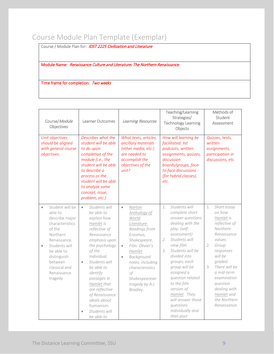# Course Module Plan Template (Exemplar)

Course / Module Plan for: **IDST 2225 Civilization and Literature** 

Module Name: Renaissance Culture and Literature: The Northern Renaissance

Time frame for completion: Two weeks

| Course/Module<br>Objectives<br>Unit objectives<br>should be aligned<br>with general course<br>objectives.                                                                                                                           | <b>Learner Outcomes</b><br>Describes what the<br>student will be able<br>to do upon<br>completion of the<br>module (i.e., the<br>student will be able<br>to describe a<br>process or the<br>student will be able<br>to analyze some<br>concept, issue,<br>problem, etc.)                                                                               |                                                                                                                                                                                                                                                                            | Teaching/Learning<br>Strategies/<br><b>Technology Learning</b><br>Objects<br>How will learning be<br>facilitated: list<br>podcasts, written<br>assignments, quizzes,<br>discussion<br>boards/groups, face-<br>to-face discussions<br>(for hybrid classes),<br>etc.                                                                                                             | Methods of<br>Student<br>Assessment<br>Quizzes, tests,<br>written<br>assignments,<br>participation in<br>discussions, etc.                                                                                                                                                      |
|-------------------------------------------------------------------------------------------------------------------------------------------------------------------------------------------------------------------------------------|--------------------------------------------------------------------------------------------------------------------------------------------------------------------------------------------------------------------------------------------------------------------------------------------------------------------------------------------------------|----------------------------------------------------------------------------------------------------------------------------------------------------------------------------------------------------------------------------------------------------------------------------|--------------------------------------------------------------------------------------------------------------------------------------------------------------------------------------------------------------------------------------------------------------------------------------------------------------------------------------------------------------------------------|---------------------------------------------------------------------------------------------------------------------------------------------------------------------------------------------------------------------------------------------------------------------------------|
| Student will be<br>$\bullet$<br>able to<br>describe major<br>characteristics<br>of the<br>Northern<br>Renaissance.<br>Students will<br>$\bullet$<br>be able to<br>distinguish<br>between<br>classical and<br>Renaissance<br>tragedy | Students will<br>$\bullet$<br>be able to<br>explain how<br>Hamlet is<br>reflective of<br>Renaissance<br>emphasis upon<br>the psychology<br>of the<br>individual.<br>Students will<br>$\bullet$<br>be able to<br>identify<br>passages in<br>Hamlet that<br>are reflective<br>of Renaissance<br>ideals about<br>humanism.<br>Students will<br>be able to | $\bullet$<br>Norton<br>Anthology of<br>World<br>Literature.<br>Readings from<br>Erasmus,<br>Shakespeare.<br>Film: Olivier's<br>$\bullet$<br>Hamlet<br>Background<br>$\bullet$<br>notes, including<br>characteristics<br>of<br>Shakespearean<br>tragedy by A.J.<br>Bradley. | Students will<br>1.<br>complete short<br>answer questions<br>dealing with the<br>play. (self-<br>assessment)<br>Students will<br>2.<br>view film.<br>Students will be<br>3.<br>divided into<br>groups; each<br>group will be<br>assigned a<br>question related<br>to the film<br>version of<br>Hamlet. They<br>will answer those<br>questions<br>individually and<br>then post | Short essay<br>1.<br>on how<br>Hamlet is<br>reflective of<br>Northern<br>Renaissance<br>values.<br>2.<br>Group<br>responses<br>will be<br>graded.<br>There will be<br>3.<br>a mid-term<br>examination<br>question<br>dealing with<br>Hamlet and<br>the Northern<br>Renaissance. |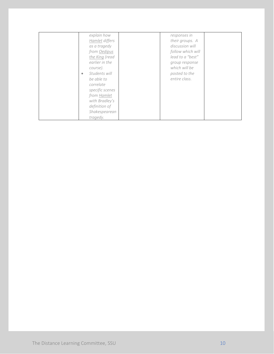| explain how        | responses in      |  |
|--------------------|-------------------|--|
| Hamlet differs     | their groups. A   |  |
| as a tragedy       | discussion will   |  |
| from Oedipus       | follow which will |  |
| the King (read     | lead to a "best"  |  |
| earlier in the     | group response    |  |
| course).           | which will be     |  |
| Students will<br>۰ | posted to the     |  |
| be able to         | entire class.     |  |
| correlate          |                   |  |
|                    |                   |  |
| specific scenes    |                   |  |
| from Hamlet        |                   |  |
| with Bradley's     |                   |  |
| definition of      |                   |  |
| Shakespearean      |                   |  |
| tragedy.           |                   |  |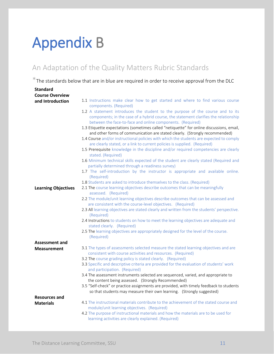# Appendix B

# An Adaptation of the Quality Matters Rubric Standards

 $*$ The standards below that are in blue are required in order to receive approval from the DLC

| <b>Standard</b>            |                                                                                                                                                                         |
|----------------------------|-------------------------------------------------------------------------------------------------------------------------------------------------------------------------|
| <b>Course Overview</b>     |                                                                                                                                                                         |
| and Introduction           | 1.1 Instructions make clear how to get started and where to find various course<br>components. (Required)                                                               |
|                            | 1.2 A statement introduces the student to the purpose of the course and to its                                                                                          |
|                            | components; in the case of a hybrid course, the statement clarifies the relationship                                                                                    |
|                            | between the face-to-face and online components. (Required)                                                                                                              |
|                            | 1.3 Etiquette expectations (sometimes called "netiquette" for online discussions, email,<br>and other forms of communication are stated clearly. (Strongly recommended) |
|                            | 1.4 Course and/or instructional policies with which the students are expected to comply<br>are clearly stated, or a link to current policies is supplied. (Required)    |
|                            | 1.5 Prerequisite knowledge in the discipline and/or required competencies are clearly<br>stated. (Required)                                                             |
|                            | 1.6 Minimum technical skills expected of the student are clearly stated (Required and                                                                                   |
|                            | partially determined through a readiness survey)                                                                                                                        |
|                            | 1.7 The self-introduction by the instructor is appropriate and available online.<br>(Required)                                                                          |
|                            | 1.8 Students are asked to introduce themselves to the class. (Required)                                                                                                 |
| <b>Learning Objectives</b> | 2.1 The course learning objectives describe outcomes that can be meaningfully<br>assessed. (Required)                                                                   |
|                            | 2.2 The module/unit learning objectives describe outcomes that can be assessed and                                                                                      |
|                            | are consistent with the course-level objectives. (Required)                                                                                                             |
|                            | 2.3 All learning objectives are stated clearly and written from the students' perspective.<br>(Required)                                                                |
|                            | 2.4 Instructions to students on how to meet the learning objectives are adequate and<br>stated clearly. (Required)                                                      |
|                            | 2.5 The learning objectives are appropriately designed for the level of the course.<br>(Required)                                                                       |
| <b>Assessment and</b>      |                                                                                                                                                                         |
| <b>Measurement</b>         | 3.1 The types of assessments selected measure the stated learning objectives and are<br>consistent with course activities and resources. (Required)                     |
|                            | 3.2 The course grading policy is stated clearly. (Required)                                                                                                             |
|                            | 3.3 Specific and descriptive criteria are provided for the evaluation of students' work                                                                                 |
|                            | and participation. (Required)                                                                                                                                           |
|                            | 3.4 The assessment instruments selected are sequenced, varied, and appropriate to<br>the content being assessed. (Strongly Recommended)                                 |
|                            | 3.5 "Self-check" or practice assignments are provided, with timely feedback to students<br>so that students may measure their own learning. (Strongly suggested)        |
| <b>Resources and</b>       |                                                                                                                                                                         |
| <b>Materials</b>           | 4.1 The instructional materials contribute to the achievement of the stated course and                                                                                  |
|                            | module/unit learning objectives. (Required)                                                                                                                             |
|                            | 4.2 The purpose of instructional materials and how the materials are to be used for<br>learning activities are clearly explained. (Required)                            |
|                            |                                                                                                                                                                         |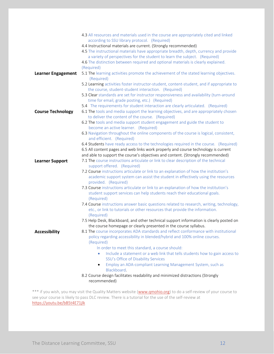|                           | 4.3 All resources and materials used in the course are appropriately cited and linked                                                      |
|---------------------------|--------------------------------------------------------------------------------------------------------------------------------------------|
|                           | according to SSU library protocol. (Required)                                                                                              |
|                           | 4.4 Instructional materials are current. (Strongly recommended)                                                                            |
|                           | 4.5 The instructional materials have appropriate breadth, depth, currency and provide                                                      |
|                           | a variety of perspectives for the student to learn the subject. (Required)                                                                 |
|                           | 4.6 The distinction between required and optional materials is clearly explained.                                                          |
|                           | (Required)                                                                                                                                 |
| <b>Learner Engagement</b> | 5.1 The learning activities promote the achievement of the stated learning objectives.<br>(Required)                                       |
|                           | 5.2 Learning activities foster instructor-student, content-student, and if appropriate to                                                  |
|                           | the course, student-student interaction. (Required)                                                                                        |
|                           | 5.3 Clear standards are set for instructor responsiveness and availability (turn-around<br>time for email, grade posting, etc.) (Required) |
|                           | 5.4 The requirements for student interaction are clearly articulated. (Required)                                                           |
|                           | 6.1 The tools and media support the learning objectives, and are appropriately chosen                                                      |
| <b>Course Technology</b>  | to deliver the content of the course. (Required)                                                                                           |
|                           | 6.2 The tools and media support student engagement and guide the student to                                                                |
|                           | become an active learner. (Required)                                                                                                       |
|                           | 6.3 Navigation throughout the online components of the course is logical, consistent,                                                      |
|                           | and efficient. (Required)                                                                                                                  |
|                           | 6.4 Students have ready access to the technologies required in the course. (Required)                                                      |
|                           | 6.5 All content pages and web links work properly and course technology is current                                                         |
|                           | and able to support the course's objectives and content. (Strongly recommended)                                                            |
| <b>Learner Support</b>    | 7.1 The course instructions articulate or link to clear description of the technical                                                       |
|                           | support offered. (Required)                                                                                                                |
|                           | 7.2 Course instructions articulate or link to an explanation of how the institution's                                                      |
|                           | academic support system can assist the student in effectively using the resources                                                          |
|                           | provided. (Required)                                                                                                                       |
|                           | 7.3 Course instructions articulate or link to an explanation of how the institution's                                                      |
|                           | student support services can help students reach their educational goals.                                                                  |
|                           | (Required)<br>7.4 Course instructions answer basic questions related to research, writing, technology,                                     |
|                           | etc., or link to tutorials or other resources that provide the information.                                                                |
|                           | (Required)                                                                                                                                 |
|                           | 7.5 Help Desk, Blackboard, and other technical support information is clearly posted on                                                    |
|                           | the course homepage or clearly presented in the course syllabus.                                                                           |
| <b>Accessibility</b>      | 8.1 The course incorporates ADA standards and reflect conformance with institutional                                                       |
|                           | policy regarding accessibility in blended/hybrid and 100% online courses.                                                                  |
|                           | (Required)                                                                                                                                 |
|                           | In order to meet this standard, a course should:                                                                                           |
|                           | Include a statement or a web link that tells students how to gain access to                                                                |
|                           | SSU's Office of Disability Services                                                                                                        |
|                           | Employ an ADA-compliant Learning Management System, such as                                                                                |
|                           | Blackboard.                                                                                                                                |
|                           | 8.2 Course design facilitates readability and minimized distractions (Strongly                                                             |
|                           | recommended)                                                                                                                               |
|                           |                                                                                                                                            |

\*\*\* if you wish, you may visit the Quality Matters website [\(www.qmohio.org\)](http://www.qmohio.org/) to do a self-review of your course to see your course is likely to pass DLC review. There is a tutorial for the use of the self-review at <https://youtu.be/bB5t4E71jlk>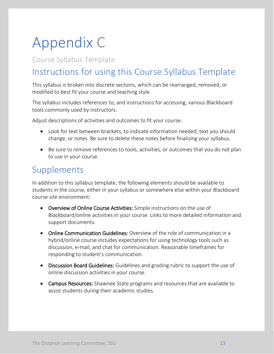# Appendix C

# Course Syllabus Template

# Instructions for using this Course Syllabus Template

This syllabus is broken into discrete sections, which can be rearranged, removed, or modified to best fit your course and teaching style.

The syllabus includes references to, and instructions for accessing, various Blackboard tools commonly used by instructors.

Adjust descriptions of activities and outcomes to fit your course.

- Look for text between brackets, to indicate information needed, text you should change, or notes. Be sure to delete these notes before finalizing your syllabus.
- Be sure to remove references to tools, activities, or outcomes that you do not plan to use in your course.

# Supplements

In addition to this syllabus template, the following elements should be available to students in the course, either in your syllabus or somewhere else within your Blackboard course site environment:

- Overview of Online Course Activities: Simple instructions on the use of Blackboard/online activities in your course. Links to more detailed information and support documents.
- Online Communication Guidelines: Overview of the role of communication in a hybrid/online course includes expectations for using technology tools such as discussion, e-mail, and chat for communication. Reasonable timeframes for responding to student's communication.
- Discussion Board Guidelines: Guidelines and grading rubric to support the use of online discussion activities in your course.
- Campus Resources: Shawnee State programs and resources that are available to assist students during their academic studies.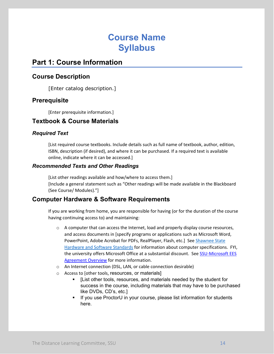# **Course Name Syllabus**

## **Part 1: Course Information**

#### **Course Description**

[Enter catalog description.]

#### **Prerequisite**

[Enter prerequisite information.]

#### **Textbook & Course Materials**

#### *Required Text*

[List required course textbooks. Include details such as full name of textbook, author, edition, ISBN, description (if desired), and where it can be purchased. If a required text is available online, indicate where it can be accessed.]

#### *Recommended Texts and Other Readings*

[List other readings available and how/where to access them.] [Include a general statement such as "Other readings will be made available in the Blackboard (See Course/ Modules)."]

#### **Computer Hardware & Software Requirements**

If you are working from home, you are responsible for having (or for the duration of the course having continuing access to) and maintaining:

- $\circ$  A computer that can access the Internet, load and properly display course resources, and access documents in [specify programs or applications such as Microsoft Word, PowerPoint, Adobe Acrobat for PDFs, RealPlayer, Flash, etc.] See Shawnee State [Hardware and Software Standards](http://www.shawnee.edu/offices/information-technology-services/it-documents/hardware-and-software-standards.aspx) for information about computer specifications. FYI, the university offers Microsoft Office at a substantial discount. Se[e SSU-Microsoft EES](http://www.shawnee.edu/offices/information-technology-services/it-documents/microsoft-agreement.aspx)  [Agreement Overview](http://www.shawnee.edu/offices/information-technology-services/it-documents/microsoft-agreement.aspx) for more information.
- o An Internet connection (DSL, LAN, or cable connection desirable)
- o Access to [other tools, resources, or materials]
	- [List other tools, resources, and materials needed by the student for success in the course, including materials that may have to be purchased like DVDs, CD's, etc.]
	- If you use ProctorU in your course, please list information for students here.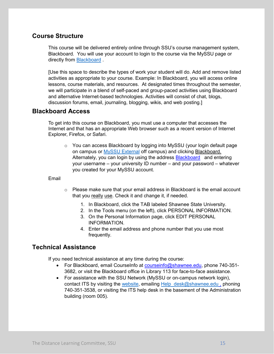#### **Course Structure**

This course will be delivered entirely online through SSU's course management system, Blackboard*.* You will use your account to login to the course via the MySSU page or directly from [Blackboard](http://blackboard.shawnee.edu/) .

[Use this space to describe the types of work your student will do. Add and remove listed activities as appropriate to your course. Example: In Blackboard, you will access online lessons, course materials, and resources. At designated times throughout the semester, we will participate in a blend of self-paced and group-paced activities using Blackboard and alternative Internet-based technologies. Activities will consist of chat, blogs, discussion forums, email, journaling, blogging, wikis, and web posting.]

#### **Blackboard Access**

To get into this course on Blackboard, you must use a computer that accesses the Internet and that has an appropriate Web browser such as a recent version of Internet Explorer, Firefox, or Safari.

o You can access Blackboard by logging into MySSU (your login default page on campus or [MySSU External](https://myssu.shawnee.edu/ics/) off campus) and clicking Blackboard. Alternately, you can login by using the address **Blackboard** and entering your username – your university ID number – and your password – whatever you created for your MySSU account.

#### Email

- o Please make sure that your email address in Blackboard is the email account that you really use. Check it and change it, if needed.
	- 1. In Blackboard, click the TAB labeled Shawnee State University.
	- 2. In the Tools menu (on the left), click PERSONAL INFORMATION.
	- 3. On the Personal Information page, click EDIT PERSONAL INFORMATION.
	- 4. Enter the email address and phone number that you use most frequently.

#### **Technical Assistance**

If you need technical assistance at any time during the course:

- For Blackboard, email CourseInfo at [courseinfo@shawnee.edu,](mailto:courseinfo@shawnee.edu) phone 740-351-3682, or visit the Blackboard office in Library 113 for face-to-face assistance.
- For assistance with the SSU Network (MySSU or on-campus network login), contact ITS by visiting the [website,](https://www.shawnee.edu/areas-study/clark-memorial-library/information-technology-services) emailing Help  $\text{ desk@shawnee.edu}$ , phoning 740-351-3538, or visiting the ITS help desk in the basement of the Administration building (room 005).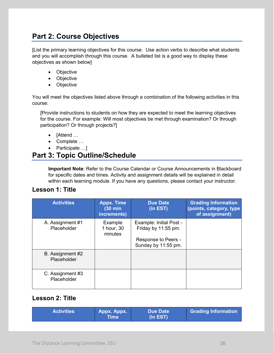# **Part 2: Course Objectives**

[List the primary learning objectives for this course. Use action verbs to describe what students and you will accomplish through this course. A bulleted list is a good way to display these objectives as shown below]

- Objective
- Objective
- Objective

You will meet the objectives listed above through a combination of the following activities in this course:

[Provide instructions to students on how they are expected to meet the learning objectives for the course. For example: Will most objectives be met through examination? Or through participation? Or through projects?]

- [Attend …
- Complete …
- Participate …]

#### **Part 3: Topic Outline/Schedule**

**Important Note**: Refer to the Course Calendar or Course Announcements in Blackboard for specific dates and times. Activity and assignment details will be explained in detail within each learning module. If you have any questions, please contact your instructor.

#### **Lesson 1: Title**

| <b>Activities</b>               | <b>Appx. Time</b><br>$(30 \text{ min})$<br>increments) | <b>Due Date</b><br>(in EST)                                                                  | <b>Grading Information</b><br>(points, category, type<br>of assignment) |
|---------------------------------|--------------------------------------------------------|----------------------------------------------------------------------------------------------|-------------------------------------------------------------------------|
| A. Assignment #1<br>Placeholder | Example<br>1 hour, 30<br>minutes                       | Example: Initial Post -<br>Friday by 11:55 pm.<br>Response to Peers -<br>Sunday by 11:55 pm. |                                                                         |
| B. Assignment #2<br>Placeholder |                                                        |                                                                                              |                                                                         |
| C. Assignment #3<br>Placeholder |                                                        |                                                                                              |                                                                         |

#### **Lesson 2: Title**

| Appx. Appx.<br><b>Activities</b><br><b>Time</b> | Due Date<br>(in EST) | <b>Grading Information</b> |
|-------------------------------------------------|----------------------|----------------------------|
|-------------------------------------------------|----------------------|----------------------------|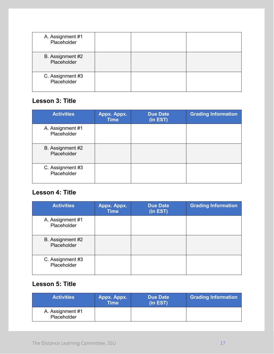| A. Assignment #1<br>Placeholder |  |  |
|---------------------------------|--|--|
| B. Assignment #2<br>Placeholder |  |  |
| C. Assignment #3<br>Placeholder |  |  |

#### **Lesson 3: Title**

| <b>Activities</b>               | Appx. Appx.<br><b>Time</b> | <b>Due Date</b><br>(in EST) | <b>Grading Information</b> |
|---------------------------------|----------------------------|-----------------------------|----------------------------|
| A. Assignment #1<br>Placeholder |                            |                             |                            |
| B. Assignment #2<br>Placeholder |                            |                             |                            |
| C. Assignment #3<br>Placeholder |                            |                             |                            |

#### **Lesson 4: Title**

| <b>Activities</b>               | Appx. Appx.<br><b>Time</b> | <b>Due Date</b><br>(in EST) | <b>Grading Information</b> |
|---------------------------------|----------------------------|-----------------------------|----------------------------|
| A. Assignment #1<br>Placeholder |                            |                             |                            |
| B. Assignment #2<br>Placeholder |                            |                             |                            |
| C. Assignment #3<br>Placeholder |                            |                             |                            |

#### **Lesson 5: Title**

| <b>Activities</b>               | Appx. Appx.<br><b>Time</b> | Due Date<br>(in EST) | <b>Grading Information</b> |
|---------------------------------|----------------------------|----------------------|----------------------------|
| A. Assignment #1<br>Placeholder |                            |                      |                            |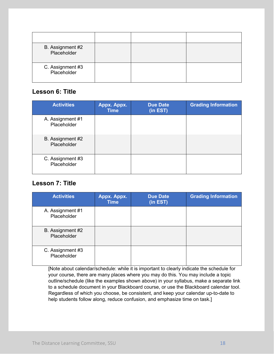| B. Assignment #2<br>Placeholder |  |  |
|---------------------------------|--|--|
| C. Assignment #3<br>Placeholder |  |  |

#### **Lesson 6: Title**

| <b>Activities</b>               | Appx. Appx.<br><b>Time</b> | <b>Due Date</b><br>(in EST) | <b>Grading Information</b> |
|---------------------------------|----------------------------|-----------------------------|----------------------------|
| A. Assignment #1<br>Placeholder |                            |                             |                            |
| B. Assignment #2<br>Placeholder |                            |                             |                            |
| C. Assignment #3<br>Placeholder |                            |                             |                            |

#### **Lesson 7: Title**

| <b>Activities</b>               | Appx. Appx.<br><b>Time</b> | <b>Due Date</b><br>(in EST) | <b>Grading Information</b> |
|---------------------------------|----------------------------|-----------------------------|----------------------------|
| A. Assignment #1<br>Placeholder |                            |                             |                            |
| B. Assignment #2<br>Placeholder |                            |                             |                            |
| C. Assignment #3<br>Placeholder |                            |                             |                            |

[Note about calendar/schedule: while it is important to clearly indicate the schedule for your course, there are many places where you may do this. You may include a topic outline/schedule (like the examples shown above) in your syllabus, make a separate link to a schedule document in your Blackboard course, or use the Blackboard calendar tool. Regardless of which you choose, be consistent, and keep your calendar up-to-date to help students follow along, reduce confusion, and emphasize time on task.]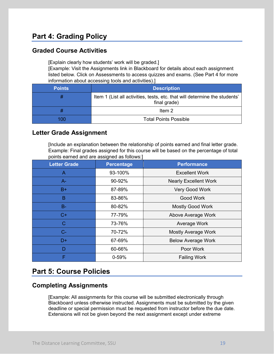# **Part 4: Grading Policy**

#### **Graded Course Activities**

[Explain clearly how students' work will be graded.]

[Example: Visit the Assignments link in Blackboard for details about each assignment listed below. Click on Assessments to access quizzes and exams. (See Part 4 for more information about accessing tools and activities).]

| <b>Points</b> | <b>Description</b>                                                                         |
|---------------|--------------------------------------------------------------------------------------------|
| #             | Item 1 (List all activities, tests, etc. that will determine the students'<br>final grade) |
| #             | Item 2                                                                                     |
| 100           | <b>Total Points Possible</b>                                                               |

#### **Letter Grade Assignment**

[Include an explanation between the relationship of points earned and final letter grade. Example: Final grades assigned for this course will be based on the percentage of total points earned and are assigned as follows:]

| <b>Letter Grade</b> | <b>Percentage</b> | <b>Performance</b>           |
|---------------------|-------------------|------------------------------|
| A                   | 93-100%           | <b>Excellent Work</b>        |
| $A-$                | 90-92%            | <b>Nearly Excellent Work</b> |
| $B+$                | 87-89%            | <b>Very Good Work</b>        |
| B                   | 83-86%            | <b>Good Work</b>             |
| B-                  | 80-82%            | <b>Mostly Good Work</b>      |
| $C+$                | 77-79%            | Above Average Work           |
| C                   | 73-76%            | Average Work                 |
| $C-$                | 70-72%            | <b>Mostly Average Work</b>   |
| D+                  | 67-69%            | <b>Below Average Work</b>    |
| D                   | 60-66%            | Poor Work                    |
| F                   | 0-59%             | <b>Failing Work</b>          |

## **Part 5: Course Policies**

#### **Completing Assignments**

[Example: All assignments for this course will be submitted electronically through Blackboard unless otherwise instructed. Assignments must be submitted by the given deadline or special permission must be requested from instructor before the due date. Extensions will not be given beyond the next assignment except under extreme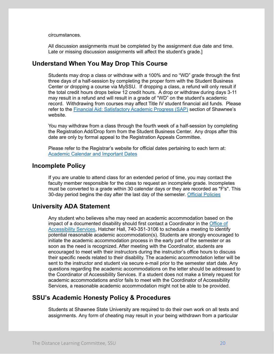circumstances.

All discussion assignments must be completed by the assignment due date and time. Late or missing discussion assignments will affect the student's grade.]

#### **Understand When You May Drop This Course**

Students may drop a class or withdraw with a 100% and no "WD" grade through the first three days of a half-session by completing the proper form with the Student Business Center or dropping a course via MySSU. If dropping a class, a refund will only result if the total credit hours drops below 12 credit hours. A drop or withdraw during days 3-11 may result in a refund and will result in a grade of "WD" on the student's academic record. Withdrawing from courses may affect Title IV student financial aid funds. Please refer to the [Financial Aid: Satisfactory Academic Progress \(SAP\)](https://www.shawnee.edu/admission-and-financial-aid/financial-aid/satisfactory-academic-progress-policy) section of Shawnee's website.

You may withdraw from a class through the fourth week of a half-session by completing the Registration Add/Drop form from the Student Business Center. Any drops after this date are only by formal appeal to the Registration Appeals Committee.

Please refer to the Registrar's website for official dates pertaining to each term at: [Academic Calendar and Important Dates](https://www.shawnee.edu/areas-study/academic-calendar-important-dates)

#### **Incomplete Policy**

If you are unable to attend class for an extended period of time, you may contact the faculty member responsible for the class to request an incomplete grade. Incompletes must be converted to a grade within 30 calendar days or they are recorded as "F's". This 30-day period begins the day after the last day of the semester. [Official Policies](http://www.shawnee.edu/offices/registration/policies.aspx)

#### **University ADA Statement**

Any student who believes s/he may need an academic accommodation based on the impact of a documented disability should first contact a Coordinator in the [Office of](https://www.shawnee.edu/campus-life/accessibility-services)  [Accessibility Services,](https://www.shawnee.edu/campus-life/accessibility-services) Hatcher Hall, 740-351-3106 to schedule a meeting to identify potential reasonable academic accommodation(s). Students are strongly encouraged to initiate the academic accommodation process in the early part of the semester or as soon as the need is recognized. After meeting with the Coordinator, students are encouraged to meet with their instructors during the instructor's office hours to discuss their specific needs related to their disability. The academic accommodation letter will be sent to the instructor and student via secure e-mail prior to the semester start date. Any questions regarding the academic accommodations on the letter should be addressed to the Coordinator of Accessibility Services. If a student does not make a timely request for academic accommodations and/or fails to meet with the Coordinator of Accessibility Services, a reasonable academic accommodation might not be able to be provided.

#### **SSU's Academic Honesty Policy & Procedures**

Students at Shawnee State University are required to do their own work on all tests and assignments. Any form of cheating may result in your being withdrawn from a particular